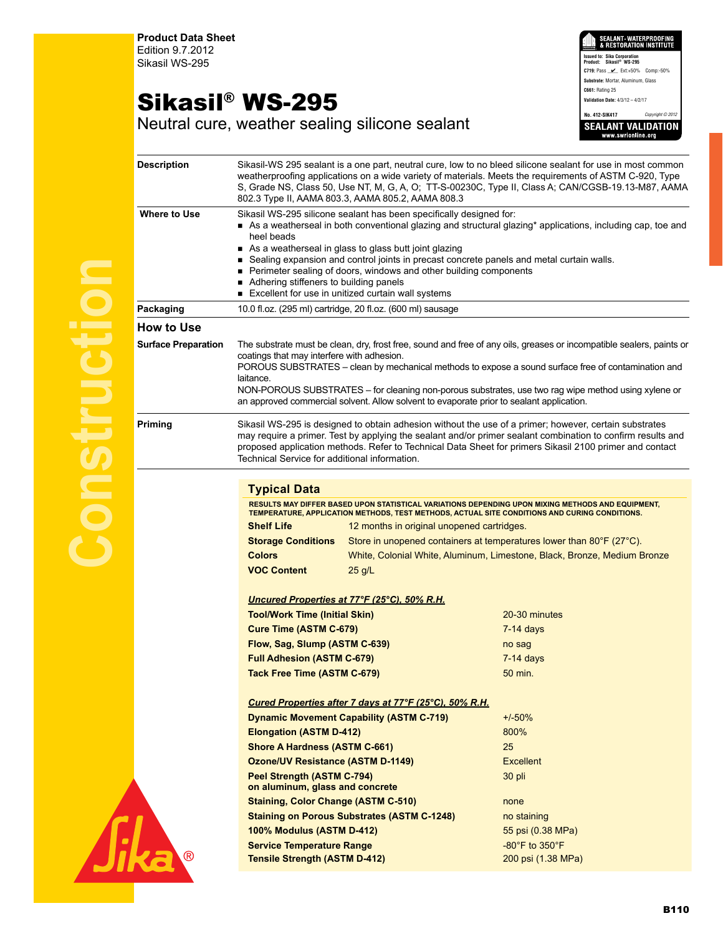**Product Data Sheet** Edition 9.7.2012 Sikasil WS-295

## Sikasil® WS-295

EALANT•WATERPROOFIN<br>Restoration Institut **Issued to: Sika Corporation Product: Sikasil® WS-295 C719:** Pass \_\_\_\_ Ext:+50% Comp:-50% **Substrate:** Mortar, Aluminum, Glass **C661:** Rating 25 **Validation Date:** 4/3/12 – 4/2/17 **No. 412-SIK417** *Copyright © 2012* **SEALANT VALIDATION** 

Neutral cure, weather sealing silicone sealant